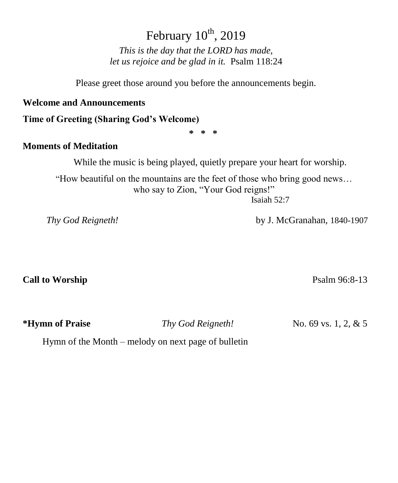# February  $10^{th}$ , 2019

*This is the day that the LORD has made, let us rejoice and be glad in it.* Psalm 118:24

Please greet those around you before the announcements begin.

#### **Welcome and Announcements**

**Time of Greeting (Sharing God's Welcome)**

**\* \* \***

### **Moments of Meditation**

While the music is being played, quietly prepare your heart for worship.

"How beautiful on the mountains are the feet of those who bring good news… who say to Zion, "Your God reigns!" Isaiah 52:7

 *Thy God Reigneth!* by J. McGranahan, 1840-1907

**Call to Worship** Psalm 96:8-13

**\*Hymn of Praise** *Thy God Reigneth!* No. 69 vs. 1, 2, & 5

Hymn of the Month – melody on next page of bulletin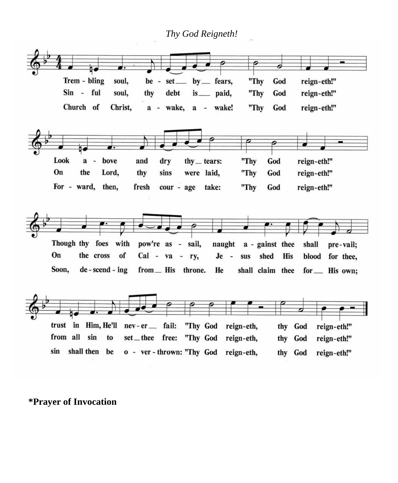*Thy God Reigneth!*



### **\*Prayer of Invocation**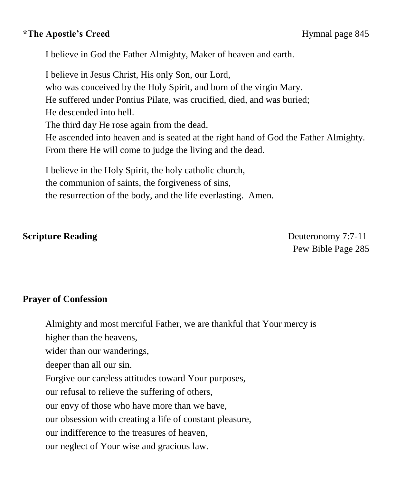## **\*The Apostle's Creed Hymnal page 845**

I believe in God the Father Almighty, Maker of heaven and earth.

I believe in Jesus Christ, His only Son, our Lord, who was conceived by the Holy Spirit, and born of the virgin Mary. He suffered under Pontius Pilate, was crucified, died, and was buried; He descended into hell. The third day He rose again from the dead. He ascended into heaven and is seated at the right hand of God the Father Almighty. From there He will come to judge the living and the dead.

I believe in the Holy Spirit, the holy catholic church, the communion of saints, the forgiveness of sins, the resurrection of the body, and the life everlasting. Amen.

**Scripture Reading Serverse Reading Serverse Serverse Serverse Deuteronomy 7:7-11** Pew Bible Page 285

## **Prayer of Confession**

Almighty and most merciful Father, we are thankful that Your mercy is

higher than the heavens,

wider than our wanderings,

deeper than all our sin.

Forgive our careless attitudes toward Your purposes,

our refusal to relieve the suffering of others,

our envy of those who have more than we have,

our obsession with creating a life of constant pleasure,

our indifference to the treasures of heaven,

our neglect of Your wise and gracious law.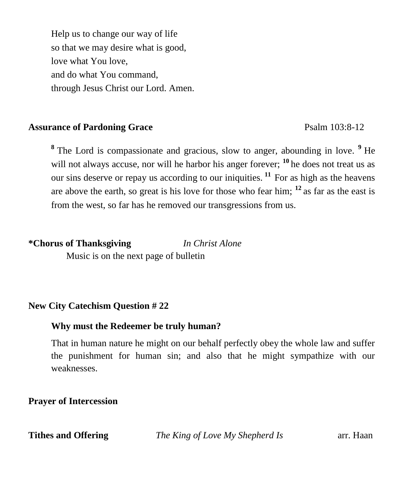Help us to change our way of life so that we may desire what is good, love what You love, and do what You command, through Jesus Christ our Lord. Amen.

### Assurance of Pardoning Grace Psalm 103:8-12

<sup>8</sup> The Lord is compassionate and gracious, slow to anger, abounding in love. <sup>9</sup> He will not always accuse, nor will he harbor his anger forever; <sup>10</sup> he does not treat us as our sins deserve or repay us according to our iniquities.<sup>11</sup> For as high as the heavens are above the earth, so great is his love for those who fear him; **<sup>12</sup>**as far as the east is from the west, so far has he removed our transgressions from us.

## **\*Chorus of Thanksgiving** *In Christ Alone*

Music is on the next page of bulletin

## **New City Catechism Question # 22**

## **Why must the Redeemer be truly human?**

That in human nature he might on our behalf perfectly obey the whole law and suffer the punishment for human sin; and also that he might sympathize with our weaknesses.

## **Prayer of Intercession**

**Tithes and Offering** *The King of Love My Shepherd Is* arr. Haan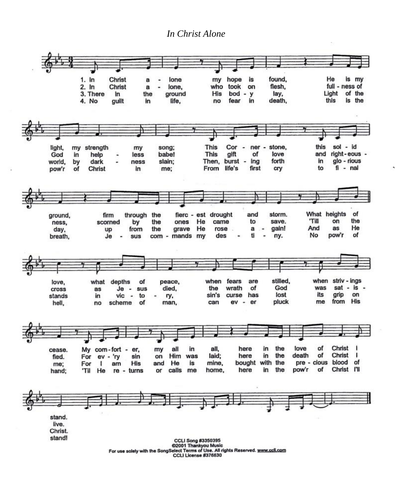#### *In Christ Alone*



CCLI License #376630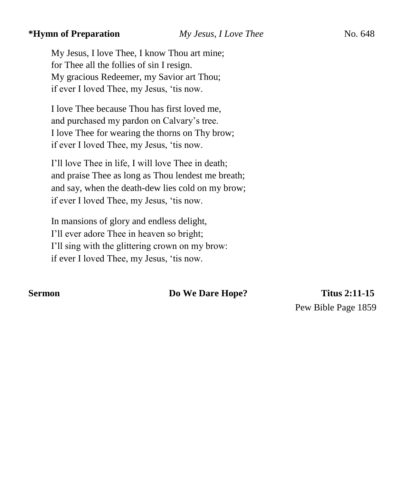#### **\*Hymn of Preparation** *My Jesus, I Love Thee* No. 648

My Jesus, I love Thee, I know Thou art mine; for Thee all the follies of sin I resign. My gracious Redeemer, my Savior art Thou; if ever I loved Thee, my Jesus, 'tis now.

I love Thee because Thou has first loved me, and purchased my pardon on Calvary's tree. I love Thee for wearing the thorns on Thy brow; if ever I loved Thee, my Jesus, 'tis now.

I'll love Thee in life, I will love Thee in death; and praise Thee as long as Thou lendest me breath; and say, when the death-dew lies cold on my brow; if ever I loved Thee, my Jesus, 'tis now.

In mansions of glory and endless delight, I'll ever adore Thee in heaven so bright; I'll sing with the glittering crown on my brow: if ever I loved Thee, my Jesus, 'tis now.

#### **Sermon Do We Dare Hope?** Titus 2:11-15

Pew Bible Page 1859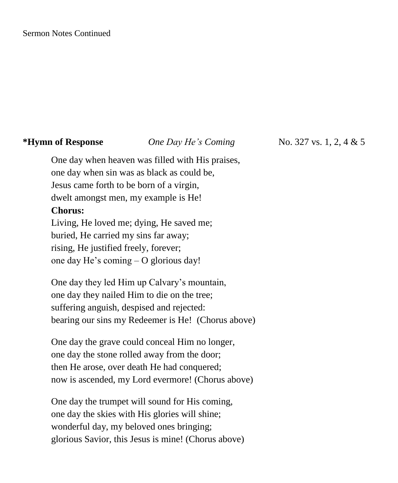#### **\*Hymn of Response** *One Day He's Coming* **No. 327 vs. 1, 2, 4 & 5**

One day when heaven was filled with His praises, one day when sin was as black as could be, Jesus came forth to be born of a virgin, dwelt amongst men, my example is He! **Chorus:** Living, He loved me; dying, He saved me; buried, He carried my sins far away; rising, He justified freely, forever; one day He's coming – O glorious day!

One day they led Him up Calvary's mountain, one day they nailed Him to die on the tree; suffering anguish, despised and rejected: bearing our sins my Redeemer is He! (Chorus above)

One day the grave could conceal Him no longer, one day the stone rolled away from the door; then He arose, over death He had conquered; now is ascended, my Lord evermore! (Chorus above)

One day the trumpet will sound for His coming, one day the skies with His glories will shine; wonderful day, my beloved ones bringing; glorious Savior, this Jesus is mine! (Chorus above)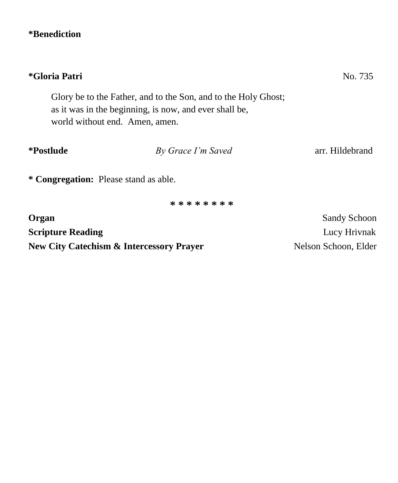# **\*Benediction**

| *Gloria Patri                                       | No. 735                                                                                                                  |                      |
|-----------------------------------------------------|--------------------------------------------------------------------------------------------------------------------------|----------------------|
| world without end. Amen, amen.                      | Glory be to the Father, and to the Son, and to the Holy Ghost;<br>as it was in the beginning, is now, and ever shall be, |                      |
| <i>*Postlude</i>                                    | By Grace I'm Saved                                                                                                       | arr. Hildebrand      |
| * Congregation: Please stand as able.               |                                                                                                                          |                      |
|                                                     | * * * * * * * *                                                                                                          |                      |
| Organ                                               |                                                                                                                          | <b>Sandy Schoon</b>  |
| <b>Scripture Reading</b>                            |                                                                                                                          | Lucy Hrivnak         |
| <b>New City Catechism &amp; Intercessory Prayer</b> |                                                                                                                          | Nelson Schoon, Elder |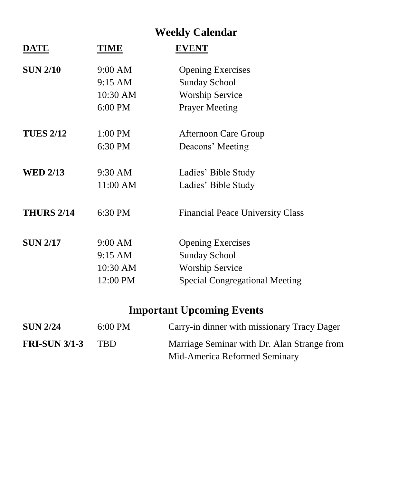# **Weekly Calendar**

| <b>DATE</b>          | <b>TIME</b> | <b>EVENT</b>                                |
|----------------------|-------------|---------------------------------------------|
| <b>SUN 2/10</b>      | 9:00 AM     | <b>Opening Exercises</b>                    |
|                      | 9:15 AM     | <b>Sunday School</b>                        |
|                      | 10:30 AM    | <b>Worship Service</b>                      |
|                      | 6:00 PM     | <b>Prayer Meeting</b>                       |
| <b>TUES 2/12</b>     | $1:00$ PM   | <b>Afternoon Care Group</b>                 |
|                      | 6:30 PM     | Deacons' Meeting                            |
| <b>WED 2/13</b>      | 9:30 AM     | Ladies' Bible Study                         |
|                      | 11:00 AM    | Ladies' Bible Study                         |
| <b>THURS 2/14</b>    | 6:30 PM     | Financial Peace University Class            |
| <b>SUN 2/17</b>      | 9:00 AM     | <b>Opening Exercises</b>                    |
|                      | 9:15 AM     | <b>Sunday School</b>                        |
|                      | 10:30 AM    | <b>Worship Service</b>                      |
|                      | 12:00 PM    | <b>Special Congregational Meeting</b>       |
|                      |             | <b>Important Upcoming Events</b>            |
| <b>SUN 2/24</b>      | 6:00 PM     | Carry-in dinner with missionary Tracy Dager |
| <b>FRI-SUN 3/1-3</b> | <b>TBD</b>  | Marriage Seminar with Dr. Alan Strange from |

Mid-America Reformed Seminary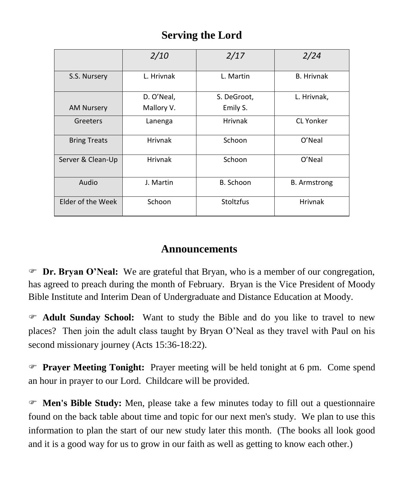# **Serving the Lord**

|                     | 2/10           | 2/17           | 2/24                |
|---------------------|----------------|----------------|---------------------|
| S.S. Nursery        | L. Hrivnak     | L. Martin      | <b>B.</b> Hrivnak   |
|                     | D. O'Neal,     | S. DeGroot,    | L. Hrivnak,         |
| <b>AM Nursery</b>   | Mallory V.     | Emily S.       |                     |
| Greeters            | Lanenga        | <b>Hrivnak</b> | <b>CL Yonker</b>    |
| <b>Bring Treats</b> | <b>Hrivnak</b> | Schoon         | O'Neal              |
| Server & Clean-Up   | <b>Hrivnak</b> | Schoon         | O'Neal              |
| Audio               | J. Martin      | B. Schoon      | <b>B.</b> Armstrong |
| Elder of the Week   | Schoon         | Stoltzfus      | <b>Hrivnak</b>      |

# **Announcements**

 **Dr. Bryan O'Neal:** We are grateful that Bryan, who is a member of our congregation, has agreed to preach during the month of February. Bryan is the Vice President of Moody Bible Institute and Interim Dean of Undergraduate and Distance Education at Moody.

 **Adult Sunday School:** Want to study the Bible and do you like to travel to new places? Then join the adult class taught by Bryan O'Neal as they travel with Paul on his second missionary journey (Acts 15:36-18:22).

 **Prayer Meeting Tonight:** Prayer meeting will be held tonight at 6 pm. Come spend an hour in prayer to our Lord. Childcare will be provided.

 **Men's Bible Study:** Men, please take a few minutes today to fill out a questionnaire found on the back table about time and topic for our next men's study. We plan to use this information to plan the start of our new study later this month. (The books all look good and it is a good way for us to grow in our faith as well as getting to know each other.)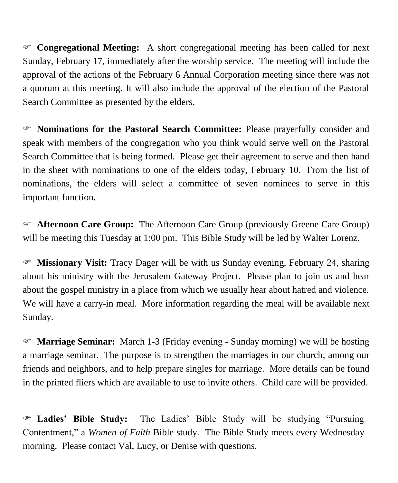**Congregational Meeting:** A short congregational meeting has been called for next Sunday, February 17, immediately after the worship service. The meeting will include the approval of the actions of the February 6 Annual Corporation meeting since there was not a quorum at this meeting. It will also include the approval of the election of the Pastoral Search Committee as presented by the elders.

 **Nominations for the Pastoral Search Committee:** Please prayerfully consider and speak with members of the congregation who you think would serve well on the Pastoral Search Committee that is being formed. Please get their agreement to serve and then hand in the sheet with nominations to one of the elders today, February 10. From the list of nominations, the elders will select a committee of seven nominees to serve in this important function.

 **Afternoon Care Group:** The Afternoon Care Group (previously Greene Care Group) will be meeting this Tuesday at 1:00 pm. This Bible Study will be led by Walter Lorenz.

 **Missionary Visit:** Tracy Dager will be with us Sunday evening, February 24, sharing about his ministry with the Jerusalem Gateway Project. Please plan to join us and hear about the gospel ministry in a place from which we usually hear about hatred and violence. We will have a carry-in meal. More information regarding the meal will be available next Sunday.

 **Marriage Seminar:** March 1-3 (Friday evening - Sunday morning) we will be hosting a marriage seminar. The purpose is to strengthen the marriages in our church, among our friends and neighbors, and to help prepare singles for marriage. More details can be found in the printed fliers which are available to use to invite others. Child care will be provided.

 **Ladies' Bible Study:** The Ladies' Bible Study will be studying "Pursuing Contentment," a *Women of Faith* Bible study. The Bible Study meets every Wednesday morning. Please contact Val, Lucy, or Denise with questions.